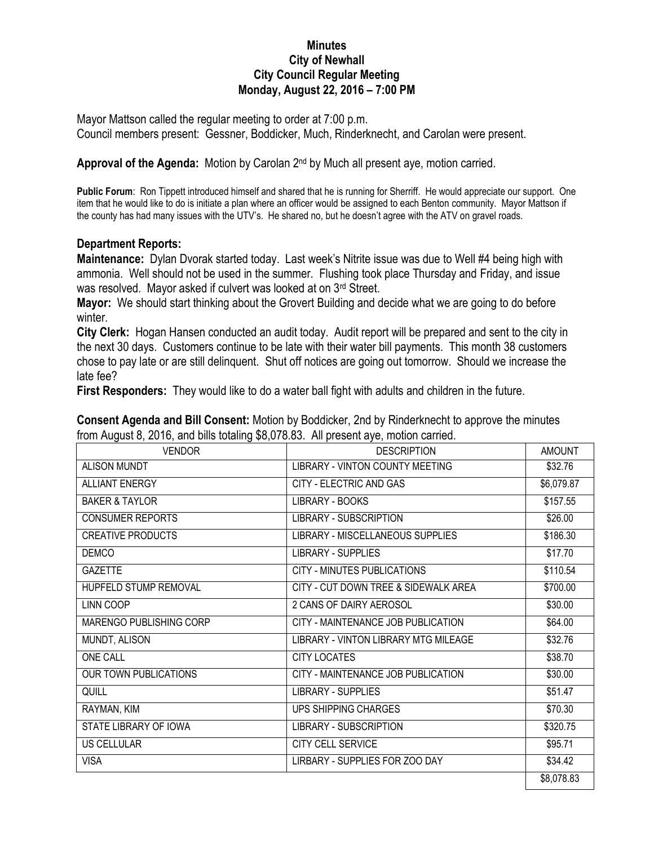## **Minutes City of Newhall City Council Regular Meeting Monday, August 22, 2016 – 7:00 PM**

Mayor Mattson called the regular meeting to order at 7:00 p.m. Council members present: Gessner, Boddicker, Much, Rinderknecht, and Carolan were present.

Approval of the Agenda: Motion by Carolan 2<sup>nd</sup> by Much all present aye, motion carried.

**Public Forum**: Ron Tippett introduced himself and shared that he is running for Sherriff. He would appreciate our support. One item that he would like to do is initiate a plan where an officer would be assigned to each Benton community. Mayor Mattson if the county has had many issues with the UTV's. He shared no, but he doesn't agree with the ATV on gravel roads.

## **Department Reports:**

**Maintenance:** Dylan Dvorak started today. Last week's Nitrite issue was due to Well #4 being high with ammonia. Well should not be used in the summer. Flushing took place Thursday and Friday, and issue was resolved. Mayor asked if culvert was looked at on 3rd Street.

**Mayor:** We should start thinking about the Grovert Building and decide what we are going to do before winter.

**City Clerk:** Hogan Hansen conducted an audit today. Audit report will be prepared and sent to the city in the next 30 days. Customers continue to be late with their water bill payments. This month 38 customers chose to pay late or are still delinquent. Shut off notices are going out tomorrow. Should we increase the late fee?

**First Responders:** They would like to do a water ball fight with adults and children in the future.

**Consent Agenda and Bill Consent:** Motion by Boddicker, 2nd by Rinderknecht to approve the minutes from August 8, 2016, and bills totaling \$8,078.83. All present aye, motion carried.

| <b>VENDOR</b>                | <b>DESCRIPTION</b>                   | <b>AMOUNT</b> |
|------------------------------|--------------------------------------|---------------|
| <b>ALISON MUNDT</b>          | LIBRARY - VINTON COUNTY MEETING      | \$32.76       |
| <b>ALLIANT ENERGY</b>        | CITY - ELECTRIC AND GAS              | \$6,079.87    |
| <b>BAKER &amp; TAYLOR</b>    | LIBRARY - BOOKS                      | \$157.55      |
| <b>CONSUMER REPORTS</b>      | <b>LIBRARY - SUBSCRIPTION</b>        | \$26.00       |
| <b>CREATIVE PRODUCTS</b>     | LIBRARY - MISCELLANEOUS SUPPLIES     | \$186.30      |
| <b>DEMCO</b>                 | <b>LIBRARY - SUPPLIES</b>            | \$17.70       |
| <b>GAZETTE</b>               | CITY - MINUTES PUBLICATIONS          | \$110.54      |
| HUPFELD STUMP REMOVAL        | CITY - CUT DOWN TREE & SIDEWALK AREA | \$700.00      |
| LINN COOP                    | 2 CANS OF DAIRY AEROSOL              | \$30.00       |
| MARENGO PUBLISHING CORP      | CITY - MAINTENANCE JOB PUBLICATION   | \$64.00       |
| MUNDT, ALISON                | LIBRARY - VINTON LIBRARY MTG MILEAGE | \$32.76       |
| ONE CALL                     | <b>CITY LOCATES</b>                  | \$38.70       |
| <b>OUR TOWN PUBLICATIONS</b> | CITY - MAINTENANCE JOB PUBLICATION   | \$30.00       |
| QUILL                        | <b>LIBRARY - SUPPLIES</b>            | \$51.47       |
| RAYMAN, KIM                  | UPS SHIPPING CHARGES                 | \$70.30       |
| STATE LIBRARY OF IOWA        | <b>LIBRARY - SUBSCRIPTION</b>        | \$320.75      |
| <b>US CELLULAR</b>           | CITY CELL SERVICE                    | \$95.71       |
| <b>VISA</b>                  | LIRBARY - SUPPLIES FOR ZOO DAY       | \$34.42       |
|                              |                                      | \$8,078.83    |